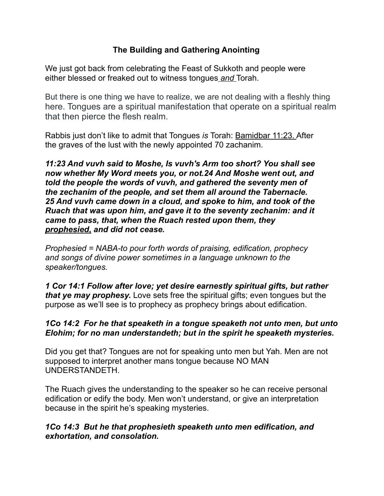## **The Building and Gathering Anointing**

We just got back from celebrating the Feast of Sukkoth and people were either blessed or freaked out to witness tongues *and* Torah.

But there is one thing we have to realize, we are not dealing with a fleshly thing here. Tongues are a spiritual manifestation that operate on a spiritual realm that then pierce the flesh realm.

Rabbis just don't like to admit that Tongues *is* Torah: Bamidbar 11:23. After the graves of the lust with the newly appointed 70 zachanim.

*11:23 And vuvh said to Moshe, Is vuvh's Arm too short? You shall see now whether My Word meets you, or not.24 And Moshe went out, and told the people the words of vuvh, and gathered the seventy men of the zechanim of the people, and set them all around the Tabernacle. 25 And vuvh came down in a cloud, and spoke to him, and took of the Ruach that was upon him, and gave it to the seventy zechanim: and it came to pass, that, when the Ruach rested upon them, they prophesied, and did not cease.* 

*Prophesied = NABA-to pour forth words of praising, edification, prophecy and songs of divine power sometimes in a language unknown to the speaker/tongues.* 

*1 Cor 14:1 Follow after love; yet desire earnestly spiritual gifts, but rather that ye may prophesy.* Love sets free the spiritual gifts; even tongues but the purpose as we'll see is to prophecy as prophecy brings about edification.

#### *[1Co 14:2](verseid:46.14.2) For he that speaketh in a tongue speaketh not unto men, but unto Elohim; for no man understandeth; but in the spirit he speaketh mysteries.*

Did you get that? Tongues are not for speaking unto men but Yah. Men are not supposed to interpret another mans tongue because NO MAN UNDERSTANDETH.

The Ruach gives the understanding to the speaker so he can receive personal edification or edify the body. Men won't understand, or give an interpretation because in the spirit he's speaking mysteries.

#### *[1Co 14:3](verseid:46.14.3) But he that prophesieth speaketh unto men edification, and exhortation, and consolation.*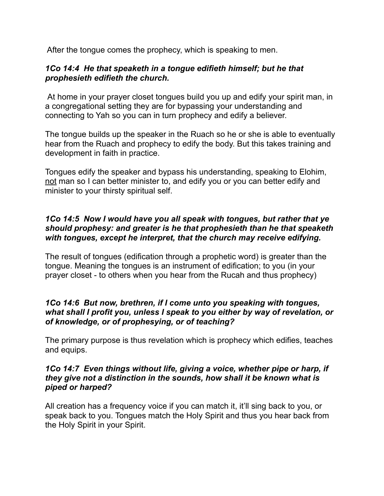After the tongue comes the prophecy, which is speaking to men.

#### *[1Co 14:4](verseid:46.14.4) He that speaketh in a tongue edifieth himself; but he that prophesieth edifieth the church.*

At home in your prayer closet tongues build you up and edify your spirit man, in a congregational setting they are for bypassing your understanding and connecting to Yah so you can in turn prophecy and edify a believer.

The tongue builds up the speaker in the Ruach so he or she is able to eventually hear from the Ruach and prophecy to edify the body. But this takes training and development in faith in practice.

Tongues edify the speaker and bypass his understanding, speaking to Elohim, not man so I can better minister to, and edify you or you can better edify and minister to your thirsty spiritual self.

#### *[1Co 14:5](verseid:46.14.5) Now I would have you all speak with tongues, but rather that ye should prophesy: and greater is he that prophesieth than he that speaketh with tongues, except he interpret, that the church may receive edifying.*

The result of tongues (edification through a prophetic word) is greater than the tongue. Meaning the tongues is an instrument of edification; to you (in your prayer closet - to others when you hear from the Rucah and thus prophecy)

#### *[1Co 14:6](verseid:46.14.6) But now, brethren, if I come unto you speaking with tongues, what shall I profit you, unless I speak to you either by way of revelation, or of knowledge, or of prophesying, or of teaching?*

The primary purpose is thus revelation which is prophecy which edifies, teaches and equips.

#### *[1Co 14:7](verseid:46.14.7) Even things without life, giving a voice, whether pipe or harp, if they give not a distinction in the sounds, how shall it be known what is piped or harped?*

All creation has a frequency voice if you can match it, it'll sing back to you, or speak back to you. Tongues match the Holy Spirit and thus you hear back from the Holy Spirit in your Spirit.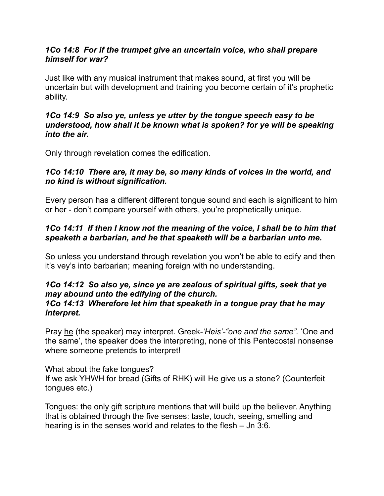#### *[1Co 14:8](verseid:46.14.8) For if the trumpet give an uncertain voice, who shall prepare himself for war?*

Just like with any musical instrument that makes sound, at first you will be uncertain but with development and training you become certain of it's prophetic ability.

#### *[1Co 14:9](verseid:46.14.9) So also ye, unless ye utter by the tongue speech easy to be understood, how shall it be known what is spoken? for ye will be speaking into the air.*

Only through revelation comes the edification.

## *[1Co 14:10](verseid:46.14.10) There are, it may be, so many kinds of voices in the world, and no kind is without signification.*

Every person has a different different tongue sound and each is significant to him or her - don't compare yourself with others, you're prophetically unique.

## *[1Co 14:11](verseid:46.14.11) If then I know not the meaning of the voice, I shall be to him that speaketh a barbarian, and he that speaketh will be a barbarian unto me.*

So unless you understand through revelation you won't be able to edify and then it's vey's into barbarian; meaning foreign with no understanding.

# *[1Co 14:12](verseid:46.14.12) So also ye, since ye are zealous of spiritual gifts, seek that ye may abound unto the edifying of the church.*

#### *[1Co 14:13](verseid:46.14.13) Wherefore let him that speaketh in a tongue pray that he may interpret.*

Pray he (the speaker) may interpret. Greek*-'Heis'-"one and the same".* 'One and the same', the speaker does the interpreting, none of this Pentecostal nonsense where someone pretends to interpret!

What about the fake tongues? If we ask YHWH for bread (Gifts of RHK) will He give us a stone? (Counterfeit tongues etc.)

Tongues: the only gift scripture mentions that will build up the believer. Anything that is obtained through the five senses: taste, touch, seeing, smelling and hearing is in the senses world and relates to the flesh – Jn 3:6.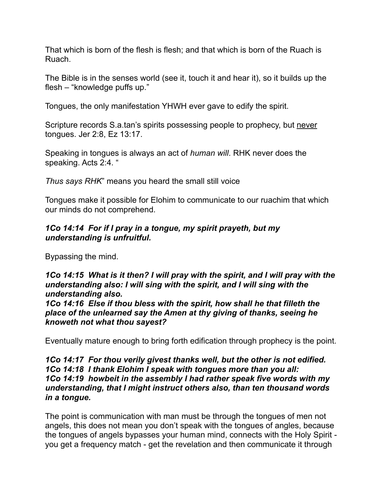That which is born of the flesh is flesh; and that which is born of the Ruach is Ruach.

The Bible is in the senses world (see it, touch it and hear it), so it builds up the flesh – "knowledge puffs up."

Tongues, the only manifestation YHWH ever gave to edify the spirit.

Scripture records S.a.tan's spirits possessing people to prophecy, but never tongues. Jer 2:8, Ez 13:17.

Speaking in tongues is always an act of *human will*. RHK never does the speaking. Acts 2:4. "

*Thus says RHK*" means you heard the small still voice

Tongues make it possible for Elohim to communicate to our ruachim that which our minds do not comprehend.

#### *[1Co 14:14](verseid:46.14.14) For if I pray in a tongue, my spirit prayeth, but my understanding is unfruitful.*

Bypassing the mind.

*[1Co 14:15](verseid:46.14.15) What is it then? I will pray with the spirit, and I will pray with the understanding also: I will sing with the spirit, and I will sing with the understanding also.* 

*[1Co 14:16](verseid:46.14.16) Else if thou bless with the spirit, how shall he that filleth the place of the unlearned say the Amen at thy giving of thanks, seeing he knoweth not what thou sayest?* 

Eventually mature enough to bring forth edification through prophecy is the point.

#### *[1Co 14:17](verseid:46.14.17) For thou verily givest thanks well, but the other is not edified. [1Co 14:18](verseid:46.14.18) I thank Elohim I speak with tongues more than you all: [1Co 14:19](verseid:46.14.19) howbeit in the assembly I had rather speak five words with my understanding, that I might instruct others also, than ten thousand words in a tongue.*

The point is communication with man must be through the tongues of men not angels, this does not mean you don't speak with the tongues of angles, because the tongues of angels bypasses your human mind, connects with the Holy Spirit you get a frequency match - get the revelation and then communicate it through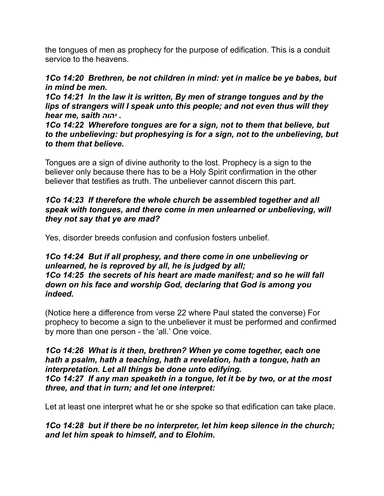the tongues of men as prophecy for the purpose of edification. This is a conduit service to the heavens.

### *[1Co 14:20](verseid:46.14.20) Brethren, be not children in mind: yet in malice be ye babes, but in mind be men.*

*[1Co 14:21](verseid:46.14.21) In the law it is written, By men of strange tongues and by the lips of strangers will I speak unto this people; and not even thus will they hear me, saith יהוה .*

*[1Co 14:22](verseid:46.14.22) Wherefore tongues are for a sign, not to them that believe, but to the unbelieving: but prophesying is for a sign, not to the unbelieving, but to them that believe.* 

Tongues are a sign of divine authority to the lost. Prophecy is a sign to the believer only because there has to be a Holy Spirit confirmation in the other believer that testifies as truth. The unbeliever cannot discern this part.

#### *[1Co 14:23](verseid:46.14.23) If therefore the whole church be assembled together and all speak with tongues, and there come in men unlearned or unbelieving, will they not say that ye are mad?*

Yes, disorder breeds confusion and confusion fosters unbelief.

#### *[1Co 14:24](verseid:46.14.24) But if all prophesy, and there come in one unbelieving or unlearned, he is reproved by all, he is judged by all; [1Co 14:25](verseid:46.14.25) the secrets of his heart are made manifest; and so he will fall down on his face and worship God, declaring that God is among you indeed.*

(Notice here a difference from verse 22 where Paul stated the converse) For prophecy to become a sign to the unbeliever it must be performed and confirmed by more than one person - the 'all.' One voice.

#### *[1Co 14:26](verseid:46.14.26) What is it then, brethren? When ye come together, each one hath a psalm, hath a teaching, hath a revelation, hath a tongue, hath an interpretation. Let all things be done unto edifying. [1Co 14:27](verseid:46.14.27) If any man speaketh in a tongue, let it be by two, or at the most three, and that in turn; and let one interpret:*

Let at least one interpret what he or she spoke so that edification can take place.

*[1Co 14:28](verseid:46.14.28) but if there be no interpreter, let him keep silence in the church; and let him speak to himself, and to Elohim.*